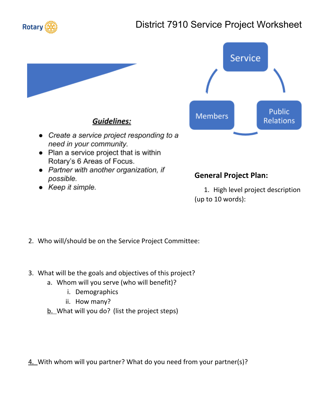

## District 7910 Service Project Worksheet



- 2. Who will/should be on the Service Project Committee:
- 3. What will be the goals and objectives of this project?
	- a. Whom will you serve (who will benefit)?
		- i. Demographics
		- ii. How many?
	- b. What will you do? (list the project steps)

4. With whom will you partner? What do you need from your partner(s)?